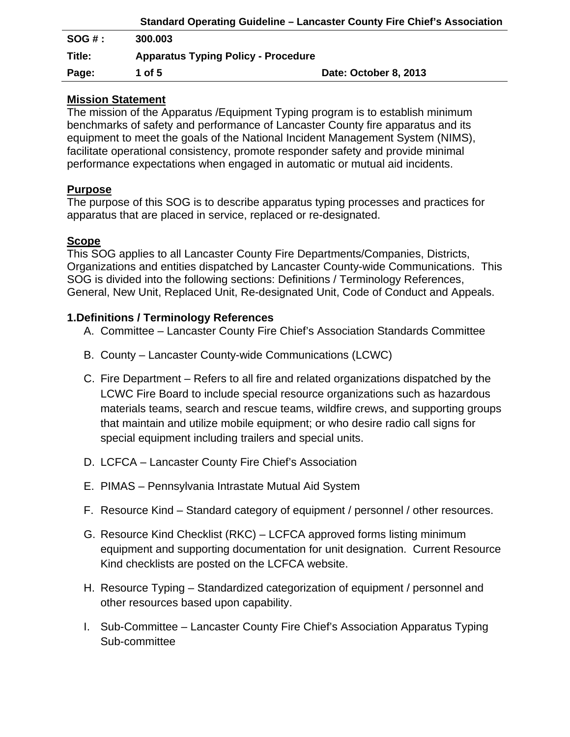|        |                                            | <b>Standard Operating Guideline – Lancaster County Fire Chief's Association</b> |
|--------|--------------------------------------------|---------------------------------------------------------------------------------|
| SOG#:  | 300.003                                    |                                                                                 |
| Title: | <b>Apparatus Typing Policy - Procedure</b> |                                                                                 |
| Page:  | 1 of 5                                     | Date: October 8, 2013                                                           |

### **Mission Statement**

The mission of the Apparatus /Equipment Typing program is to establish minimum benchmarks of safety and performance of Lancaster County fire apparatus and its equipment to meet the goals of the National Incident Management System (NIMS), facilitate operational consistency, promote responder safety and provide minimal performance expectations when engaged in automatic or mutual aid incidents.

## **Purpose**

The purpose of this SOG is to describe apparatus typing processes and practices for apparatus that are placed in service, replaced or re-designated.

# **Scope**

This SOG applies to all Lancaster County Fire Departments/Companies, Districts, Organizations and entities dispatched by Lancaster County-wide Communications. This SOG is divided into the following sections: Definitions / Terminology References, General, New Unit, Replaced Unit, Re-designated Unit, Code of Conduct and Appeals.

## **1.Definitions / Terminology References**

- A. Committee Lancaster County Fire Chief's Association Standards Committee
- B. County Lancaster County-wide Communications (LCWC)
- C. Fire Department Refers to all fire and related organizations dispatched by the LCWC Fire Board to include special resource organizations such as hazardous materials teams, search and rescue teams, wildfire crews, and supporting groups that maintain and utilize mobile equipment; or who desire radio call signs for special equipment including trailers and special units.
- D. LCFCA Lancaster County Fire Chief's Association
- E. PIMAS Pennsylvania Intrastate Mutual Aid System
- F. Resource Kind Standard category of equipment / personnel / other resources.
- G. Resource Kind Checklist (RKC) LCFCA approved forms listing minimum equipment and supporting documentation for unit designation. Current Resource Kind checklists are posted on the LCFCA website.
- H. Resource Typing Standardized categorization of equipment / personnel and other resources based upon capability.
- I. Sub-Committee Lancaster County Fire Chief's Association Apparatus Typing Sub-committee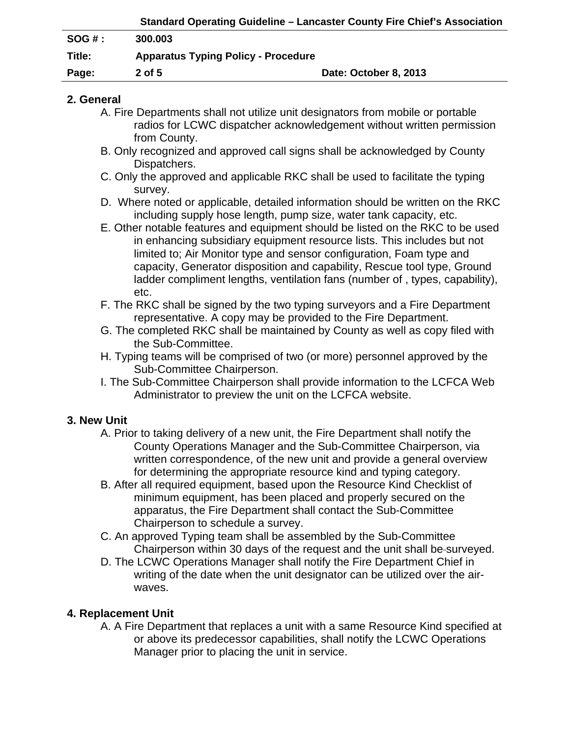| Standard Operating Guideline – Lancaster County Fire Chief's Association |                       |
|--------------------------------------------------------------------------|-----------------------|
| 300.003                                                                  |                       |
| <b>Apparatus Typing Policy - Procedure</b>                               |                       |
| $2$ of 5                                                                 | Date: October 8, 2013 |
|                                                                          |                       |

### **2. General**

- A. Fire Departments shall not utilize unit designators from mobile or portable radios for LCWC dispatcher acknowledgement without written permission from County.
- B. Only recognized and approved call signs shall be acknowledged by County Dispatchers.
- C. Only the approved and applicable RKC shall be used to facilitate the typing survey.
- D. Where noted or applicable, detailed information should be written on the RKC including supply hose length, pump size, water tank capacity, etc.
- E. Other notable features and equipment should be listed on the RKC to be used in enhancing subsidiary equipment resource lists. This includes but not limited to; Air Monitor type and sensor configuration, Foam type and capacity, Generator disposition and capability, Rescue tool type, Ground ladder compliment lengths, ventilation fans (number of , types, capability), etc.
- F. The RKC shall be signed by the two typing surveyors and a Fire Department representative. A copy may be provided to the Fire Department.
- G. The completed RKC shall be maintained by County as well as copy filed with the Sub-Committee.
- H. Typing teams will be comprised of two (or more) personnel approved by the Sub-Committee Chairperson.
- I. The Sub-Committee Chairperson shall provide information to the LCFCA Web Administrator to preview the unit on the LCFCA website.

# **3. New Unit**

- A. Prior to taking delivery of a new unit, the Fire Department shall notify the County Operations Manager and the Sub-Committee Chairperson, via written correspondence, of the new unit and provide a general overview for determining the appropriate resource kind and typing category.
- B. After all required equipment, based upon the Resource Kind Checklist of minimum equipment, has been placed and properly secured on the apparatus, the Fire Department shall contact the Sub-Committee Chairperson to schedule a survey.
- C. An approved Typing team shall be assembled by the Sub-Committee Chairperson within 30 days of the request and the unit shall be surveyed.
- D. The LCWC Operations Manager shall notify the Fire Department Chief in writing of the date when the unit designator can be utilized over the air waves.

# **4. Replacement Unit**

 A. A Fire Department that replaces a unit with a same Resource Kind specified at or above its predecessor capabilities, shall notify the LCWC Operations Manager prior to placing the unit in service.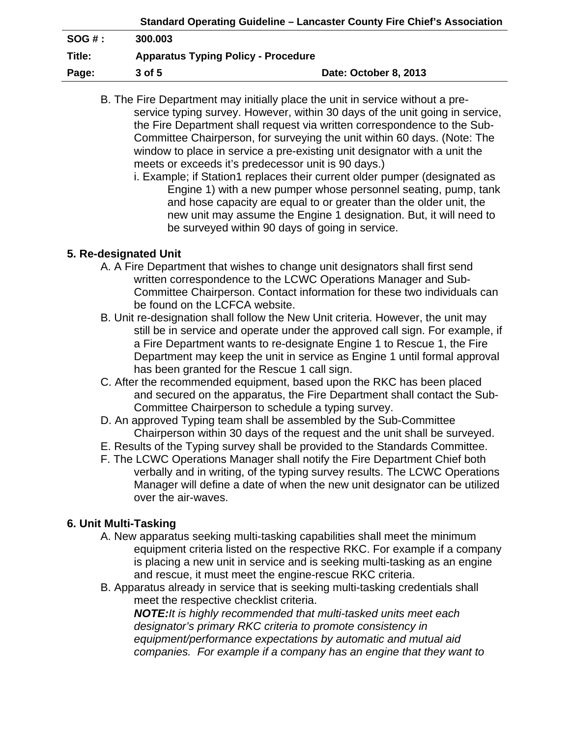|        |                                            | Standard Operating Guideline - Lancaster County Fire Chief's Association |
|--------|--------------------------------------------|--------------------------------------------------------------------------|
| SOG#   | 300.003                                    |                                                                          |
| Title: | <b>Apparatus Typing Policy - Procedure</b> |                                                                          |
| Page:  | 3 of 5                                     | Date: October 8, 2013                                                    |

B. The Fire Department may initially place the unit in service without a pre service typing survey. However, within 30 days of the unit going in service, the Fire Department shall request via written correspondence to the Sub- Committee Chairperson, for surveying the unit within 60 days. (Note: The window to place in service a pre-existing unit designator with a unit the meets or exceeds it's predecessor unit is 90 days.)

i. Example; if Station1 replaces their current older pumper (designated as Engine 1) with a new pumper whose personnel seating, pump, tank and hose capacity are equal to or greater than the older unit, the new unit may assume the Engine 1 designation. But, it will need to be surveyed within 90 days of going in service.

## **5. Re-designated Unit**

- A. A Fire Department that wishes to change unit designators shall first send written correspondence to the LCWC Operations Manager and Sub- Committee Chairperson. Contact information for these two individuals can be found on the LCFCA website.
- B. Unit re-designation shall follow the New Unit criteria. However, the unit may still be in service and operate under the approved call sign. For example, if a Fire Department wants to re-designate Engine 1 to Rescue 1, the Fire Department may keep the unit in service as Engine 1 until formal approval has been granted for the Rescue 1 call sign.
- C. After the recommended equipment, based upon the RKC has been placed and secured on the apparatus, the Fire Department shall contact the Sub- Committee Chairperson to schedule a typing survey.
- D. An approved Typing team shall be assembled by the Sub-Committee Chairperson within 30 days of the request and the unit shall be surveyed.
- E. Results of the Typing survey shall be provided to the Standards Committee.
- F. The LCWC Operations Manager shall notify the Fire Department Chief both verbally and in writing, of the typing survey results. The LCWC Operations Manager will define a date of when the new unit designator can be utilized over the air-waves.

#### **6. Unit Multi-Tasking**

- A. New apparatus seeking multi-tasking capabilities shall meet the minimum equipment criteria listed on the respective RKC. For example if a company is placing a new unit in service and is seeking multi-tasking as an engine and rescue, it must meet the engine-rescue RKC criteria.
- B. Apparatus already in service that is seeking multi-tasking credentials shall meet the respective checklist criteria.

*NOTE:It is highly recommended that multi-tasked units meet each designator's primary RKC criteria to promote consistency in equipment/performance expectations by automatic and mutual aid companies. For example if a company has an engine that they want to*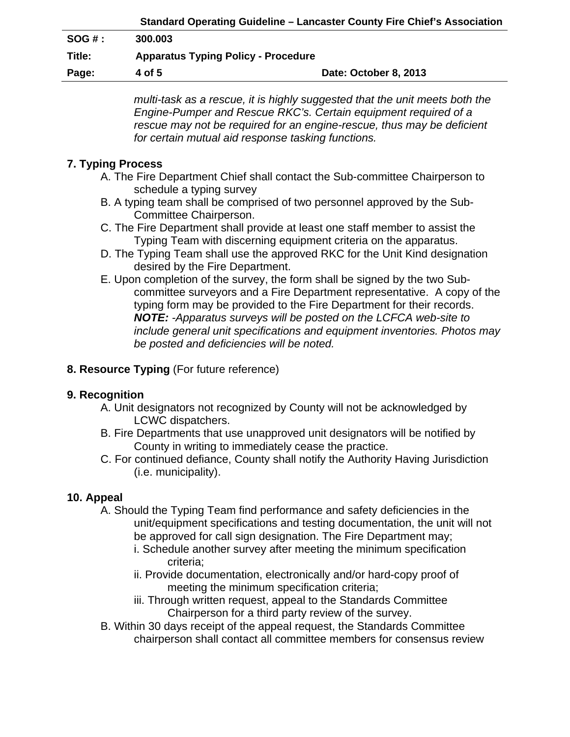|          | Standard Operating Guideline – Lancaster County Fire Chief's Association |                       |
|----------|--------------------------------------------------------------------------|-----------------------|
| $SOG#$ : | 300.003                                                                  |                       |
| Title:   | <b>Apparatus Typing Policy - Procedure</b>                               |                       |
| Page:    | 4 of 5                                                                   | Date: October 8, 2013 |

*multi-task as a rescue, it is highly suggested that the unit meets both the Engine-Pumper and Rescue RKC's. Certain equipment required of a*  rescue may not be required for an engine-rescue, thus may be deficient *for certain mutual aid response tasking functions.* 

# **7. Typing Process**

- A. The Fire Department Chief shall contact the Sub-committee Chairperson to schedule a typing survey
- B. A typing team shall be comprised of two personnel approved by the Sub- Committee Chairperson.
- C. The Fire Department shall provide at least one staff member to assist the Typing Team with discerning equipment criteria on the apparatus.
- D. The Typing Team shall use the approved RKC for the Unit Kind designation desired by the Fire Department.
- E. Upon completion of the survey, the form shall be signed by the two Sub committee surveyors and a Fire Department representative. A copy of the typing form may be provided to the Fire Department for their records. *NOTE: -Apparatus surveys will be posted on the LCFCA web-site to include general unit specifications and equipment inventories. Photos may be posted and deficiencies will be noted.*

### **8. Resource Typing** (For future reference)

#### **9. Recognition**

- A. Unit designators not recognized by County will not be acknowledged by LCWC dispatchers.
- B. Fire Departments that use unapproved unit designators will be notified by County in writing to immediately cease the practice.
- C. For continued defiance, County shall notify the Authority Having Jurisdiction (i.e. municipality).

#### **10. Appeal**

- A. Should the Typing Team find performance and safety deficiencies in the unit/equipment specifications and testing documentation, the unit will not be approved for call sign designation. The Fire Department may;
	- i. Schedule another survey after meeting the minimum specification criteria;
	- ii. Provide documentation, electronically and/or hard-copy proof of meeting the minimum specification criteria;
	- iii. Through written request, appeal to the Standards Committee Chairperson for a third party review of the survey.
- B. Within 30 days receipt of the appeal request, the Standards Committee chairperson shall contact all committee members for consensus review